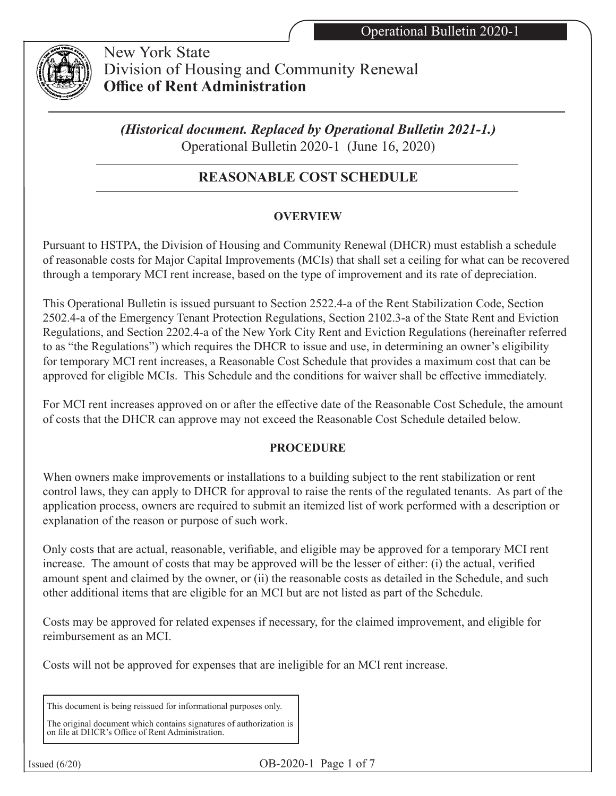

 New York State Division of Housing and Community Renewal **Office of Rent Administration**

*(Historical document. Replaced by Operational Bulletin 2021-1.)* Operational Bulletin 2020-1 (June 16, 2020)

# **REASONABLE COST SCHEDULE**

# **OVERVIEW**

Pursuant to HSTPA, the Division of Housing and Community Renewal (DHCR) must establish a schedule of reasonable costs for Major Capital Improvements (MCIs) that shall set a ceiling for what can be recovered through a temporary MCI rent increase, based on the type of improvement and its rate of depreciation.

This Operational Bulletin is issued pursuant to Section 2522.4-a of the Rent Stabilization Code, Section 2502.4-a of the Emergency Tenant Protection Regulations, Section 2102.3-a of the State Rent and Eviction Regulations, and Section 2202.4-a of the New York City Rent and Eviction Regulations (hereinafter referred to as "the Regulations") which requires the DHCR to issue and use, in determining an owner's eligibility for temporary MCI rent increases, a Reasonable Cost Schedule that provides a maximum cost that can be approved for eligible MCIs. This Schedule and the conditions for waiver shall be effective immediately.

For MCI rent increases approved on or after the effective date of the Reasonable Cost Schedule, the amount of costs that the DHCR can approve may not exceed the Reasonable Cost Schedule detailed below.

#### **PROCEDURE**

When owners make improvements or installations to a building subject to the rent stabilization or rent control laws, they can apply to DHCR for approval to raise the rents of the regulated tenants. As part of the application process, owners are required to submit an itemized list of work performed with a description or explanation of the reason or purpose of such work.

Only costs that are actual, reasonable, verifiable, and eligible may be approved for a temporary MCI rent increase. The amount of costs that may be approved will be the lesser of either: (i) the actual, verified amount spent and claimed by the owner, or (ii) the reasonable costs as detailed in the Schedule, and such other additional items that are eligible for an MCI but are not listed as part of the Schedule.

Costs may be approved for related expenses if necessary, for the claimed improvement, and eligible for reimbursement as an MCI.

Costs will not be approved for expenses that are ineligible for an MCI rent increase.

This document is being reissued for informational purposes only.

The original document which contains signatures of authorization is on file at DHCR's Office of Rent Administration.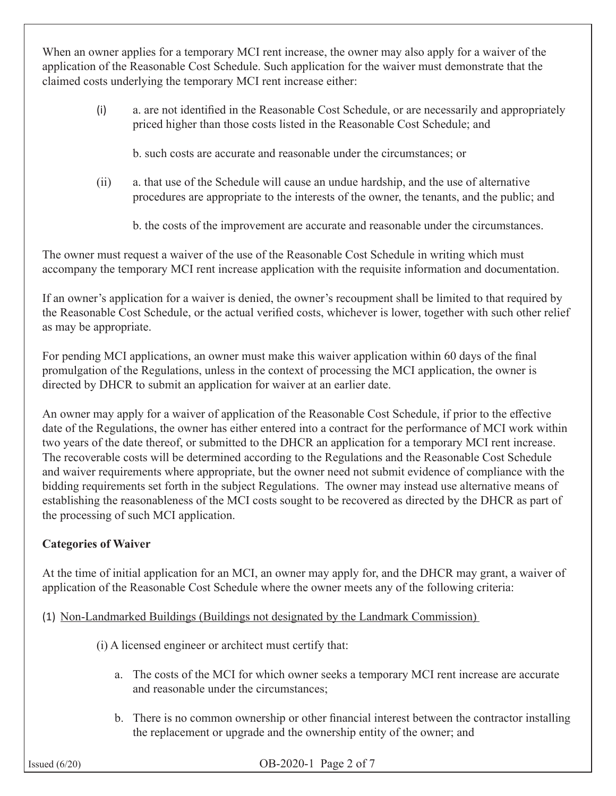When an owner applies for a temporary MCI rent increase, the owner may also apply for a waiver of the application of the Reasonable Cost Schedule. Such application for the waiver must demonstrate that the claimed costs underlying the temporary MCI rent increase either:

- (i) a. are not identified in the Reasonable Cost Schedule, or are necessarily and appropriately priced higher than those costs listed in the Reasonable Cost Schedule; and
	- b. such costs are accurate and reasonable under the circumstances; or
- (ii) a. that use of the Schedule will cause an undue hardship, and the use of alternative procedures are appropriate to the interests of the owner, the tenants, and the public; and
	- b. the costs of the improvement are accurate and reasonable under the circumstances.

The owner must request a waiver of the use of the Reasonable Cost Schedule in writing which must accompany the temporary MCI rent increase application with the requisite information and documentation.

If an owner's application for a waiver is denied, the owner's recoupment shall be limited to that required by the Reasonable Cost Schedule, or the actual verified costs, whichever is lower, together with such other relief as may be appropriate.

For pending MCI applications, an owner must make this waiver application within 60 days of the final promulgation of the Regulations, unless in the context of processing the MCI application, the owner is directed by DHCR to submit an application for waiver at an earlier date.

An owner may apply for a waiver of application of the Reasonable Cost Schedule, if prior to the effective date of the Regulations, the owner has either entered into a contract for the performance of MCI work within two years of the date thereof, or submitted to the DHCR an application for a temporary MCI rent increase. The recoverable costs will be determined according to the Regulations and the Reasonable Cost Schedule and waiver requirements where appropriate, but the owner need not submit evidence of compliance with the bidding requirements set forth in the subject Regulations. The owner may instead use alternative means of establishing the reasonableness of the MCI costs sought to be recovered as directed by the DHCR as part of the processing of such MCI application.

# **Categories of Waiver**

At the time of initial application for an MCI, an owner may apply for, and the DHCR may grant, a waiver of application of the Reasonable Cost Schedule where the owner meets any of the following criteria:

- (1) Non-Landmarked Buildings (Buildings not designated by the Landmark Commission)
	- (i) A licensed engineer or architect must certify that:
		- a. The costs of the MCI for which owner seeks a temporary MCI rent increase are accurate and reasonable under the circumstances;
		- b. There is no common ownership or other financial interest between the contractor installing the replacement or upgrade and the ownership entity of the owner; and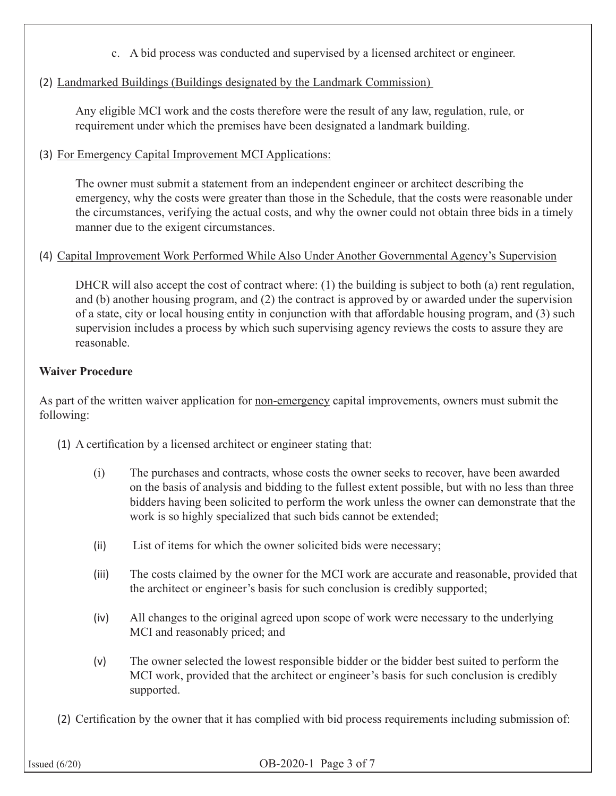- c. A bid process was conducted and supervised by a licensed architect or engineer.
- (2) Landmarked Buildings (Buildings designated by the Landmark Commission)

Any eligible MCI work and the costs therefore were the result of any law, regulation, rule, or requirement under which the premises have been designated a landmark building.

(3) For Emergency Capital Improvement MCI Applications:

The owner must submit a statement from an independent engineer or architect describing the emergency, why the costs were greater than those in the Schedule, that the costs were reasonable under the circumstances, verifying the actual costs, and why the owner could not obtain three bids in a timely manner due to the exigent circumstances.

## (4) Capital Improvement Work Performed While Also Under Another Governmental Agency's Supervision

DHCR will also accept the cost of contract where:  $(1)$  the building is subject to both (a) rent regulation, and (b) another housing program, and (2) the contract is approved by or awarded under the supervision of a state, city or local housing entity in conjunction with that affordable housing program, and (3) such supervision includes a process by which such supervising agency reviews the costs to assure they are reasonable.

## **Waiver Procedure**

As part of the written waiver application for non-emergency capital improvements, owners must submit the following:

- (1) A certification by a licensed architect or engineer stating that:
	- (i) The purchases and contracts, whose costs the owner seeks to recover, have been awarded on the basis of analysis and bidding to the fullest extent possible, but with no less than three bidders having been solicited to perform the work unless the owner can demonstrate that the work is so highly specialized that such bids cannot be extended;
	- (ii) List of items for which the owner solicited bids were necessary;
	- (iii) The costs claimed by the owner for the MCI work are accurate and reasonable, provided that the architect or engineer's basis for such conclusion is credibly supported;
	- (iv) All changes to the original agreed upon scope of work were necessary to the underlying MCI and reasonably priced; and
	- (v) The owner selected the lowest responsible bidder or the bidder best suited to perform the MCI work, provided that the architect or engineer's basis for such conclusion is credibly supported.
- (2) Certification by the owner that it has complied with bid process requirements including submission of: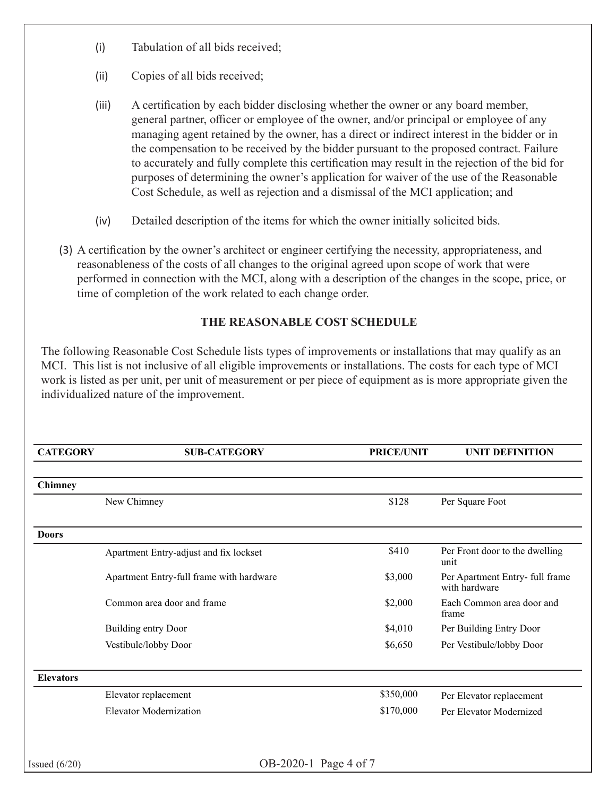- (i) Tabulation of all bids received;
- (ii) Copies of all bids received;
- (iii) A certification by each bidder disclosing whether the owner or any board member, general partner, officer or employee of the owner, and/or principal or employee of any managing agent retained by the owner, has a direct or indirect interest in the bidder or in the compensation to be received by the bidder pursuant to the proposed contract. Failure to accurately and fully complete this certification may result in the rejection of the bid for purposes of determining the owner's application for waiver of the use of the Reasonable Cost Schedule, as well as rejection and a dismissal of the MCI application; and
- (iv) Detailed description of the items for which the owner initially solicited bids.
- (3) A certification by the owner's architect or engineer certifying the necessity, appropriateness, and reasonableness of the costs of all changes to the original agreed upon scope of work that were performed in connection with the MCI, along with a description of the changes in the scope, price, or time of completion of the work related to each change order.

## **THE REASONABLE COST SCHEDULE**

The following Reasonable Cost Schedule lists types of improvements or installations that may qualify as an MCI. This list is not inclusive of all eligible improvements or installations. The costs for each type of MCI work is listed as per unit, per unit of measurement or per piece of equipment as is more appropriate given the individualized nature of the improvement.

| <b>CATEGORY</b>  | <b>SUB-CATEGORY</b>                      | <b>PRICE/UNIT</b> | <b>UNIT DEFINITION</b>                           |
|------------------|------------------------------------------|-------------------|--------------------------------------------------|
| Chimney          |                                          |                   |                                                  |
|                  | New Chimney                              | \$128             | Per Square Foot                                  |
| <b>Doors</b>     |                                          |                   |                                                  |
|                  | Apartment Entry-adjust and fix lockset   | \$410             | Per Front door to the dwelling<br>unit           |
|                  | Apartment Entry-full frame with hardware | \$3,000           | Per Apartment Entry- full frame<br>with hardware |
|                  | Common area door and frame               | \$2,000           | Each Common area door and<br>frame               |
|                  | Building entry Door                      | \$4,010           | Per Building Entry Door                          |
|                  | Vestibule/lobby Door                     | \$6,650           | Per Vestibule/lobby Door                         |
| <b>Elevators</b> |                                          |                   |                                                  |
|                  | Elevator replacement                     | \$350,000         | Per Elevator replacement                         |
|                  | <b>Elevator Modernization</b>            | \$170,000         | Per Elevator Modernized                          |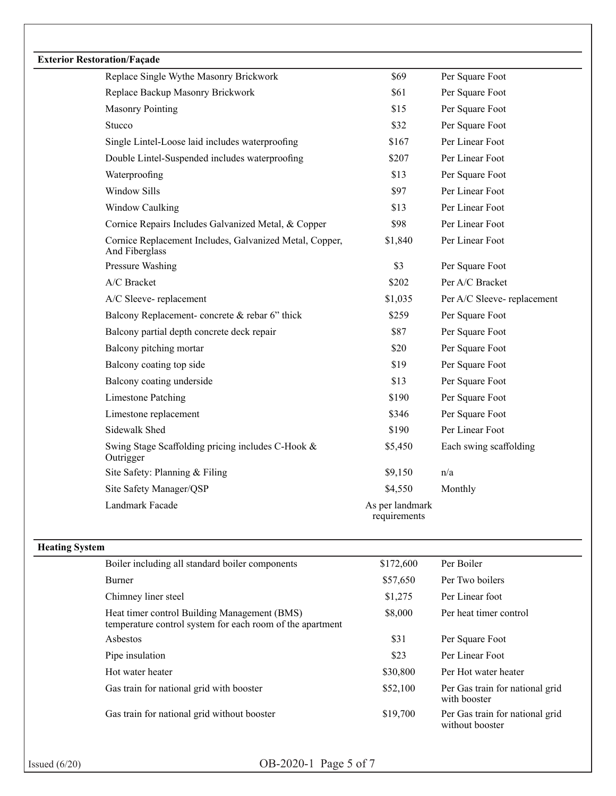| <b>Exterior Restoration/Façade</b> | Replace Single Wythe Masonry Brickwork                                                                    | \$69                            | Per Square Foot            |
|------------------------------------|-----------------------------------------------------------------------------------------------------------|---------------------------------|----------------------------|
|                                    |                                                                                                           | \$61                            |                            |
|                                    | Replace Backup Masonry Brickwork                                                                          |                                 | Per Square Foot            |
|                                    | <b>Masonry Pointing</b>                                                                                   | \$15                            | Per Square Foot            |
|                                    | Stucco                                                                                                    | \$32                            | Per Square Foot            |
|                                    | Single Lintel-Loose laid includes waterproofing                                                           | \$167                           | Per Linear Foot            |
|                                    | Double Lintel-Suspended includes waterproofing                                                            | \$207                           | Per Linear Foot            |
|                                    | Waterproofing                                                                                             | \$13                            | Per Square Foot            |
|                                    | Window Sills                                                                                              | \$97                            | Per Linear Foot            |
|                                    | Window Caulking                                                                                           | \$13                            | Per Linear Foot            |
|                                    | Cornice Repairs Includes Galvanized Metal, & Copper                                                       | \$98                            | Per Linear Foot            |
|                                    | Cornice Replacement Includes, Galvanized Metal, Copper,<br>And Fiberglass                                 | \$1,840                         | Per Linear Foot            |
|                                    | Pressure Washing                                                                                          | \$3                             | Per Square Foot            |
|                                    | A/C Bracket                                                                                               | \$202                           | Per A/C Bracket            |
|                                    | A/C Sleeve-replacement                                                                                    | \$1,035                         | Per A/C Sleeve-replacement |
|                                    | Balcony Replacement-concrete & rebar 6" thick                                                             | \$259                           | Per Square Foot            |
|                                    | Balcony partial depth concrete deck repair                                                                | \$87                            | Per Square Foot            |
|                                    | Balcony pitching mortar                                                                                   | \$20                            | Per Square Foot            |
|                                    | Balcony coating top side                                                                                  | \$19                            | Per Square Foot            |
|                                    | Balcony coating underside                                                                                 | \$13                            | Per Square Foot            |
|                                    | <b>Limestone Patching</b>                                                                                 | \$190                           | Per Square Foot            |
|                                    | Limestone replacement                                                                                     | \$346                           | Per Square Foot            |
|                                    | Sidewalk Shed                                                                                             | \$190                           | Per Linear Foot            |
|                                    | Swing Stage Scaffolding pricing includes C-Hook &<br>Outrigger                                            | \$5,450                         | Each swing scaffolding     |
|                                    | Site Safety: Planning & Filing                                                                            | \$9,150                         | n/a                        |
|                                    | Site Safety Manager/QSP                                                                                   | \$4,550                         | Monthly                    |
|                                    | Landmark Facade                                                                                           | As per landmark<br>requirements |                            |
| <b>Heating System</b>              |                                                                                                           |                                 |                            |
|                                    | Boiler including all standard boiler components                                                           | \$172,600                       | Per Boiler                 |
|                                    | Burner                                                                                                    | \$57,650                        | Per Two boilers            |
|                                    | Chimney liner steel                                                                                       | \$1,275                         | Per Linear foot            |
|                                    | Heat timer control Building Management (BMS)<br>temperature control system for each room of the apartment | \$8,000                         | Per heat timer control     |
|                                    | Asbestos                                                                                                  | \$31                            | Per Square Foot            |
|                                    | Pipe insulation                                                                                           | \$23                            | Per Linear Foot            |

Hot water heater  $$30,800$  Per Hot water heater Gas train for national grid with booster \$52,100 Per Gas train for national grid with booster Gas train for national grid without booster \$19,700 Per Gas train for national grid<br>without booster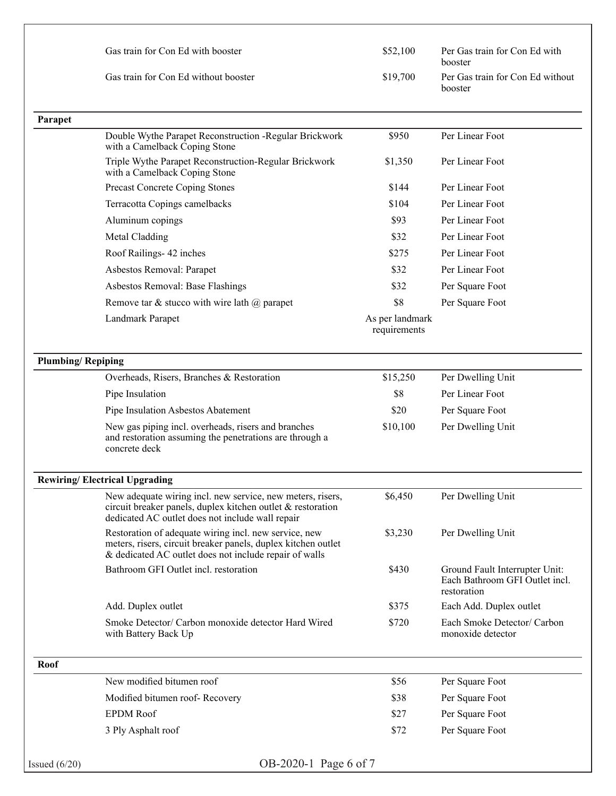| Gas train for Con Ed with booster    | \$52,100 | Per Gas train for Con Ed with<br>booster    |
|--------------------------------------|----------|---------------------------------------------|
| Gas train for Con Ed without booster | \$19,700 | Per Gas train for Con Ed without<br>booster |

| Parapet                  |                                                                                                                                                                                  |                                 |                                                                                 |
|--------------------------|----------------------------------------------------------------------------------------------------------------------------------------------------------------------------------|---------------------------------|---------------------------------------------------------------------------------|
|                          | Double Wythe Parapet Reconstruction - Regular Brickwork<br>with a Camelback Coping Stone                                                                                         | \$950                           | Per Linear Foot                                                                 |
|                          | Triple Wythe Parapet Reconstruction-Regular Brickwork<br>with a Camelback Coping Stone                                                                                           | \$1,350                         | Per Linear Foot                                                                 |
|                          | Precast Concrete Coping Stones                                                                                                                                                   | \$144                           | Per Linear Foot                                                                 |
|                          | Terracotta Copings camelbacks                                                                                                                                                    | \$104                           | Per Linear Foot                                                                 |
|                          | Aluminum copings                                                                                                                                                                 | \$93                            | Per Linear Foot                                                                 |
|                          | Metal Cladding                                                                                                                                                                   | \$32                            | Per Linear Foot                                                                 |
|                          | Roof Railings- 42 inches                                                                                                                                                         | \$275                           | Per Linear Foot                                                                 |
|                          | Asbestos Removal: Parapet                                                                                                                                                        | \$32                            | Per Linear Foot                                                                 |
|                          | Asbestos Removal: Base Flashings                                                                                                                                                 | \$32                            | Per Square Foot                                                                 |
|                          | Remove tar & stucco with wire lath $\omega$ parapet                                                                                                                              | \$8                             | Per Square Foot                                                                 |
|                          | Landmark Parapet                                                                                                                                                                 | As per landmark<br>requirements |                                                                                 |
| <b>Plumbing/Repiping</b> |                                                                                                                                                                                  |                                 |                                                                                 |
|                          | Overheads, Risers, Branches & Restoration                                                                                                                                        | \$15,250                        | Per Dwelling Unit                                                               |
|                          | Pipe Insulation                                                                                                                                                                  | \$8                             | Per Linear Foot                                                                 |
|                          | Pipe Insulation Asbestos Abatement                                                                                                                                               | \$20                            | Per Square Foot                                                                 |
|                          | New gas piping incl. overheads, risers and branches<br>and restoration assuming the penetrations are through a<br>concrete deck                                                  | \$10,100                        | Per Dwelling Unit                                                               |
|                          | <b>Rewiring/Electrical Upgrading</b>                                                                                                                                             |                                 |                                                                                 |
|                          | New adequate wiring incl. new service, new meters, risers,<br>circuit breaker panels, duplex kitchen outlet & restoration<br>dedicated AC outlet does not include wall repair    | \$6,450                         | Per Dwelling Unit                                                               |
|                          | Restoration of adequate wiring incl. new service, new<br>meters, risers, circuit breaker panels, duplex kitchen outlet<br>& dedicated AC outlet does not include repair of walls | \$3,230                         | Per Dwelling Unit                                                               |
|                          | Bathroom GFI Outlet incl. restoration                                                                                                                                            | \$430                           | Ground Fault Interrupter Unit:<br>Each Bathroom GFI Outlet incl.<br>restoration |
|                          | Add. Duplex outlet                                                                                                                                                               | \$375                           | Each Add. Duplex outlet                                                         |
|                          | Smoke Detector/ Carbon monoxide detector Hard Wired<br>with Battery Back Up                                                                                                      | \$720                           | Each Smoke Detector/ Carbon<br>monoxide detector                                |
| Roof                     |                                                                                                                                                                                  |                                 |                                                                                 |
|                          | New modified bitumen roof                                                                                                                                                        | \$56                            | Per Square Foot                                                                 |
|                          | Modified bitumen roof-Recovery                                                                                                                                                   | \$38                            | Per Square Foot                                                                 |
|                          | <b>EPDM</b> Roof                                                                                                                                                                 | \$27                            | Per Square Foot                                                                 |
|                          | 3 Ply Asphalt roof                                                                                                                                                               | \$72                            | Per Square Foot                                                                 |
|                          |                                                                                                                                                                                  |                                 |                                                                                 |